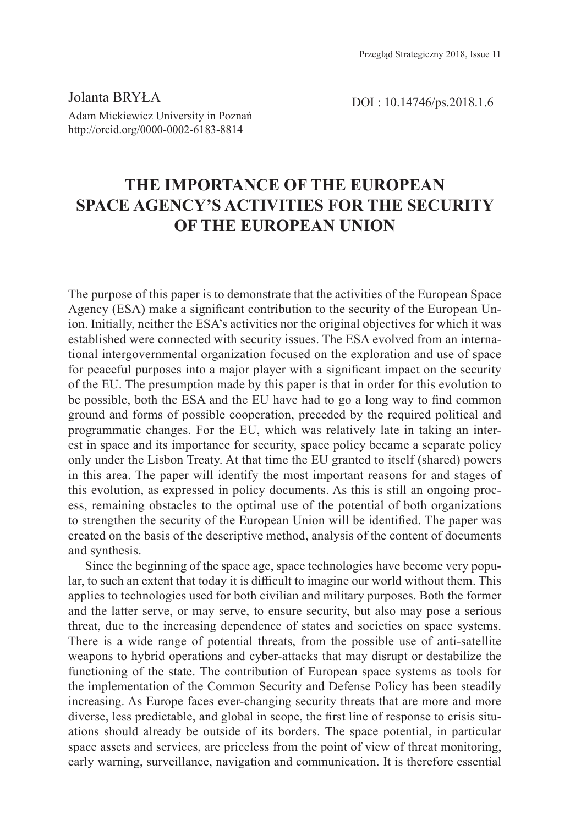Jolanta BRYŁA Adam Mickiewicz University in Poznań http://orcid.org/0000-0002-6183-8814

DOI : 10.14746/ps.2018.1.6

# **THE IMPORTANCE OF THE EUROPEAN SPACE AGENCY'S ACTIVITIES FOR THE SECURITY OF THE EUROPEAN UNION**

The purpose of this paper is to demonstrate that the activities of the European Space Agency (ESA) make a significant contribution to the security of the European Union. Initially, neither the ESA's activities nor the original objectives for which it was established were connected with security issues. The ESA evolved from an international intergovernmental organization focused on the exploration and use of space for peaceful purposes into a major player with a significant impact on the security of the EU. The presumption made by this paper is that in order for this evolution to be possible, both the ESA and the EU have had to go a long way to find common ground and forms of possible cooperation, preceded by the required political and programmatic changes. For the EU, which was relatively late in taking an interest in space and its importance for security, space policy became a separate policy only under the Lisbon Treaty. At that time the EU granted to itself (shared) powers in this area. The paper will identify the most important reasons for and stages of this evolution, as expressed in policy documents. As this is still an ongoing process, remaining obstacles to the optimal use of the potential of both organizations to strengthen the security of the European Union will be identified. The paper was created on the basis of the descriptive method, analysis of the content of documents and synthesis.

Since the beginning of the space age, space technologies have become very popular, to such an extent that today it is difficult to imagine our world without them. This applies to technologies used for both civilian and military purposes. Both the former and the latter serve, or may serve, to ensure security, but also may pose a serious threat, due to the increasing dependence of states and societies on space systems. There is a wide range of potential threats, from the possible use of anti-satellite weapons to hybrid operations and cyber-attacks that may disrupt or destabilize the functioning of the state. The contribution of European space systems as tools for the implementation of the Common Security and Defense Policy has been steadily increasing. As Europe faces ever-changing security threats that are more and more diverse, less predictable, and global in scope, the first line of response to crisis situations should already be outside of its borders. The space potential, in particular space assets and services, are priceless from the point of view of threat monitoring, early warning, surveillance, navigation and communication. It is therefore essential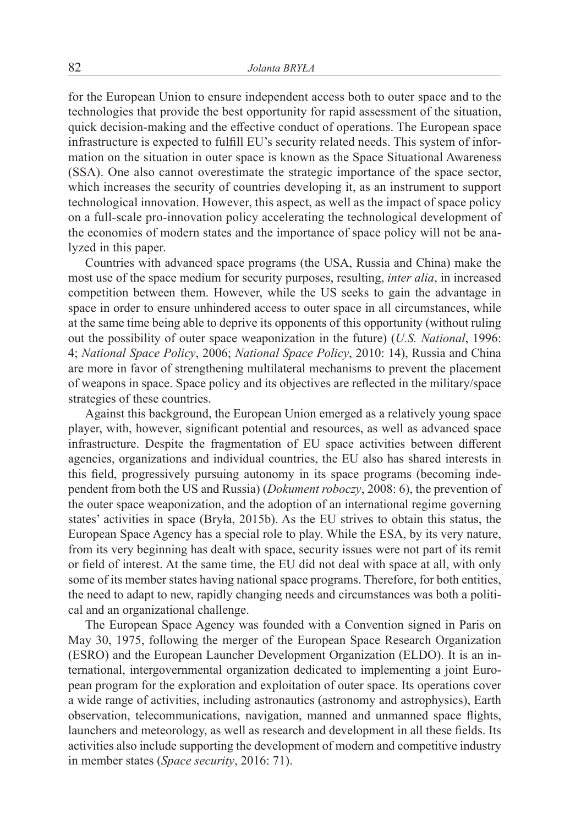for the European Union to ensure independent access both to outer space and to the technologies that provide the best opportunity for rapid assessment of the situation, quick decision-making and the effective conduct of operations. The European space infrastructure is expected to fulfill EU's security related needs. This system of information on the situation in outer space is known as the Space Situational Awareness (SSA). One also cannot overestimate the strategic importance of the space sector, which increases the security of countries developing it, as an instrument to support technological innovation. However, this aspect, as well as the impact of space policy on a full-scale pro-innovation policy accelerating the technological development of the economies of modern states and the importance of space policy will not be analyzed in this paper.

Countries with advanced space programs (the USA, Russia and China) make the most use of the space medium for security purposes, resulting, *inter alia*, in increased competition between them. However, while the US seeks to gain the advantage in space in order to ensure unhindered access to outer space in all circumstances, while at the same time being able to deprive its opponents of this opportunity (without ruling out the possibility of outer space weaponization in the future) (*U.S. National*, 1996: 4; *National Space Policy*, 2006; *National Space Policy*, 2010: 14), Russia and China are more in favor of strengthening multilateral mechanisms to prevent the placement of weapons in space. Space policy and its objectives are reflected in the military/space strategies of these countries.

Against this background, the European Union emerged as a relatively young space player, with, however, significant potential and resources, as well as advanced space infrastructure. Despite the fragmentation of EU space activities between different agencies, organizations and individual countries, the EU also has shared interests in this field, progressively pursuing autonomy in its space programs (becoming independent from both the US and Russia) (*Dokument roboczy*, 2008: 6), the prevention of the outer space weaponization, and the adoption of an international regime governing states' activities in space (Bryła, 2015b). As the EU strives to obtain this status, the European Space Agency has a special role to play. While the ESA, by its very nature, from its very beginning has dealt with space, security issues were not part of its remit or field of interest. At the same time, the EU did not deal with space at all, with only some of its member states having national space programs. Therefore, for both entities, the need to adapt to new, rapidly changing needs and circumstances was both a political and an organizational challenge.

The European Space Agency was founded with a Convention signed in Paris on May 30, 1975, following the merger of the European Space Research Organization (ESRO) and the European Launcher Development Organization (ELDO). It is an international, intergovernmental organization dedicated to implementing a joint European program for the exploration and exploitation of outer space. Its operations cover a wide range of activities, including astronautics (astronomy and astrophysics), Earth observation, telecommunications, navigation, manned and unmanned space flights, launchers and meteorology, as well as research and development in all these fields. Its activities also include supporting the development of modern and competitive industry in member states (*Space security*, 2016: 71).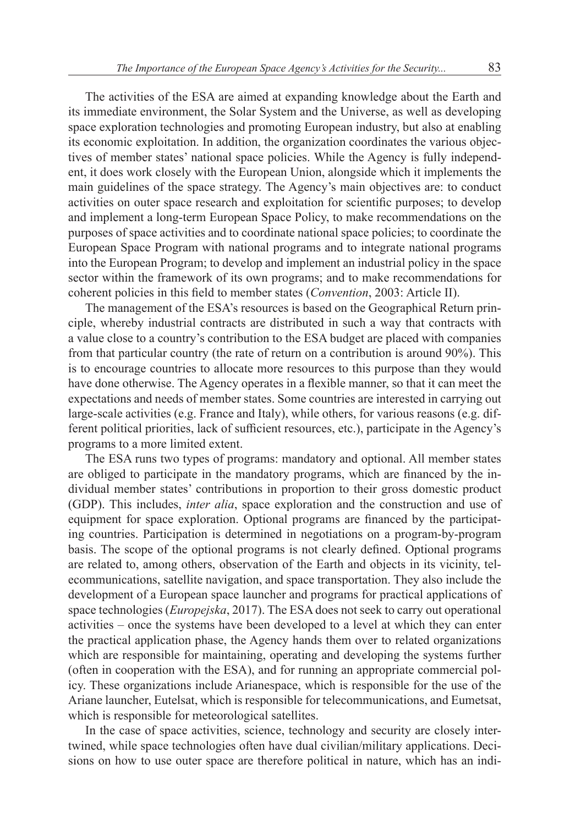The activities of the ESA are aimed at expanding knowledge about the Earth and its immediate environment, the Solar System and the Universe, as well as developing space exploration technologies and promoting European industry, but also at enabling its economic exploitation. In addition, the organization coordinates the various objectives of member states' national space policies. While the Agency is fully independent, it does work closely with the European Union, alongside which it implements the main guidelines of the space strategy. The Agency's main objectives are: to conduct activities on outer space research and exploitation for scientific purposes; to develop and implement a long-term European Space Policy, to make recommendations on the purposes of space activities and to coordinate national space policies; to coordinate the European Space Program with national programs and to integrate national programs into the European Program; to develop and implement an industrial policy in the space sector within the framework of its own programs; and to make recommendations for coherent policies in this field to member states (*Convention*, 2003: Article II).

The management of the ESA's resources is based on the Geographical Return principle, whereby industrial contracts are distributed in such a way that contracts with a value close to a country's contribution to the ESA budget are placed with companies from that particular country (the rate of return on a contribution is around 90%). This is to encourage countries to allocate more resources to this purpose than they would have done otherwise. The Agency operates in a flexible manner, so that it can meet the expectations and needs of member states. Some countries are interested in carrying out large-scale activities (e.g. France and Italy), while others, for various reasons (e.g. different political priorities, lack of sufficient resources, etc.), participate in the Agency's programs to a more limited extent.

The ESA runs two types of programs: mandatory and optional. All member states are obliged to participate in the mandatory programs, which are financed by the individual member states' contributions in proportion to their gross domestic product (GDP). This includes, *inter alia*, space exploration and the construction and use of equipment for space exploration. Optional programs are financed by the participating countries. Participation is determined in negotiations on a program-by-program basis. The scope of the optional programs is not clearly defined. Optional programs are related to, among others, observation of the Earth and objects in its vicinity, telecommunications, satellite navigation, and space transportation. They also include the development of a European space launcher and programs for practical applications of space technologies (*Europejska*, 2017). The ESA does not seek to carry out operational activities – once the systems have been developed to a level at which they can enter the practical application phase, the Agency hands them over to related organizations which are responsible for maintaining, operating and developing the systems further (often in cooperation with the ESA), and for running an appropriate commercial policy. These organizations include Arianespace, which is responsible for the use of the Ariane launcher, Eutelsat, which is responsible for telecommunications, and Eumetsat, which is responsible for meteorological satellites.

In the case of space activities, science, technology and security are closely intertwined, while space technologies often have dual civilian/military applications. Decisions on how to use outer space are therefore political in nature, which has an indi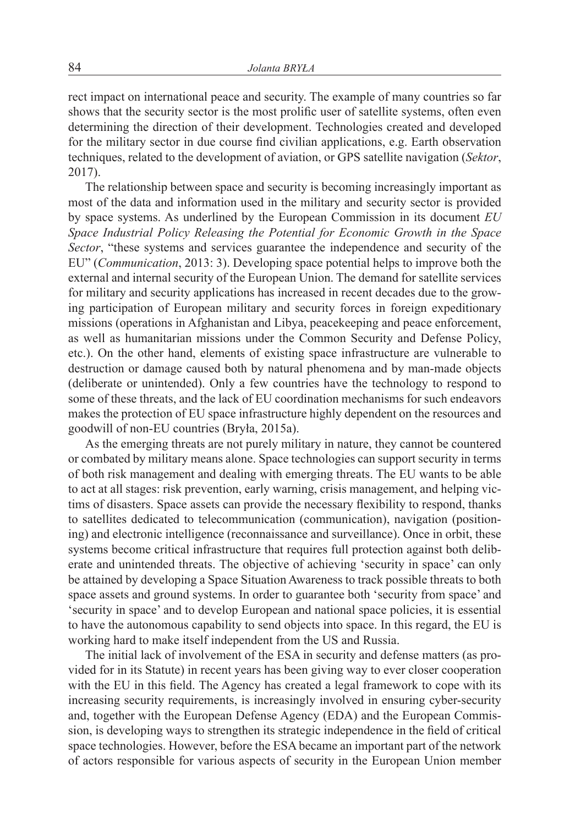rect impact on international peace and security. The example of many countries so far shows that the security sector is the most prolific user of satellite systems, often even determining the direction of their development. Technologies created and developed for the military sector in due course find civilian applications, e.g. Earth observation techniques, related to the development of aviation, or GPS satellite navigation (*Sektor*, 2017).

The relationship between space and security is becoming increasingly important as most of the data and information used in the military and security sector is provided by space systems. As underlined by the European Commission in its document *EU Space Industrial Policy Releasing the Potential for Economic Growth in the Space Sector*, "these systems and services guarantee the independence and security of the EU" (*Communication*, 2013: 3). Developing space potential helps to improve both the external and internal security of the European Union. The demand for satellite services for military and security applications has increased in recent decades due to the growing participation of European military and security forces in foreign expeditionary missions (operations in Afghanistan and Libya, peacekeeping and peace enforcement, as well as humanitarian missions under the Common Security and Defense Policy, etc.). On the other hand, elements of existing space infrastructure are vulnerable to destruction or damage caused both by natural phenomena and by man-made objects (deliberate or unintended). Only a few countries have the technology to respond to some of these threats, and the lack of EU coordination mechanisms for such endeavors makes the protection of EU space infrastructure highly dependent on the resources and goodwill of non-EU countries (Bryła, 2015a).

As the emerging threats are not purely military in nature, they cannot be countered or combated by military means alone. Space technologies can support security in terms of both risk management and dealing with emerging threats. The EU wants to be able to act at all stages: risk prevention, early warning, crisis management, and helping victims of disasters. Space assets can provide the necessary flexibility to respond, thanks to satellites dedicated to telecommunication (communication), navigation (positioning) and electronic intelligence (reconnaissance and surveillance). Once in orbit, these systems become critical infrastructure that requires full protection against both deliberate and unintended threats. The objective of achieving 'security in space' can only be attained by developing a Space Situation Awareness to track possible threats to both space assets and ground systems. In order to guarantee both 'security from space' and 'security in space' and to develop European and national space policies, it is essential to have the autonomous capability to send objects into space. In this regard, the EU is working hard to make itself independent from the US and Russia.

The initial lack of involvement of the ESA in security and defense matters (as provided for in its Statute) in recent years has been giving way to ever closer cooperation with the EU in this field. The Agency has created a legal framework to cope with its increasing security requirements, is increasingly involved in ensuring cyber-security and, together with the European Defense Agency (EDA) and the European Commission, is developing ways to strengthen its strategic independence in the field of critical space technologies. However, before the ESA became an important part of the network of actors responsible for various aspects of security in the European Union member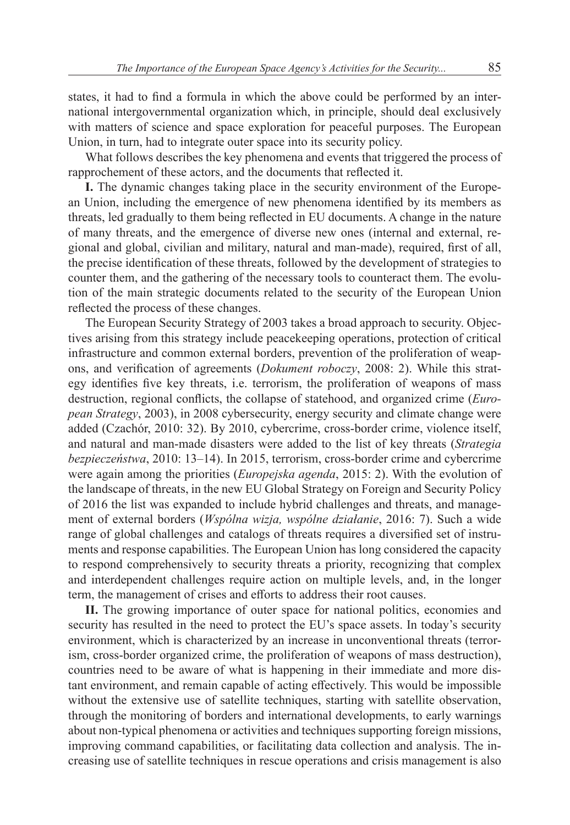states, it had to find a formula in which the above could be performed by an international intergovernmental organization which, in principle, should deal exclusively with matters of science and space exploration for peaceful purposes. The European Union, in turn, had to integrate outer space into its security policy.

What follows describes the key phenomena and events that triggered the process of rapprochement of these actors, and the documents that reflected it.

**I.** The dynamic changes taking place in the security environment of the European Union, including the emergence of new phenomena identified by its members as threats, led gradually to them being reflected in EU documents. A change in the nature of many threats, and the emergence of diverse new ones (internal and external, regional and global, civilian and military, natural and man-made), required, first of all, the precise identification of these threats, followed by the development of strategies to counter them, and the gathering of the necessary tools to counteract them. The evolution of the main strategic documents related to the security of the European Union reflected the process of these changes.

The European Security Strategy of 2003 takes a broad approach to security. Objectives arising from this strategy include peacekeeping operations, protection of critical infrastructure and common external borders, prevention of the proliferation of weapons, and verification of agreements (*Dokument roboczy*, 2008: 2). While this strategy identifies five key threats, i.e. terrorism, the proliferation of weapons of mass destruction, regional conflicts, the collapse of statehood, and organized crime (*European Strategy*, 2003), in 2008 cybersecurity, energy security and climate change were added (Czachór, 2010: 32). By 2010, cybercrime, cross-border crime, violence itself, and natural and man-made disasters were added to the list of key threats (*Strategia bezpieczeństwa*, 2010: 13–14). In 2015, terrorism, cross-border crime and cybercrime were again among the priorities (*Europejska agenda*, 2015: 2). With the evolution of the landscape of threats, in the new EU Global Strategy on Foreign and Security Policy of 2016 the list was expanded to include hybrid challenges and threats, and management of external borders (*Wspólna wizja, wspólne działanie*, 2016: 7). Such a wide range of global challenges and catalogs of threats requires a diversified set of instruments and response capabilities. The European Union has long considered the capacity to respond comprehensively to security threats a priority, recognizing that complex and interdependent challenges require action on multiple levels, and, in the longer term, the management of crises and efforts to address their root causes.

**II.** The growing importance of outer space for national politics, economies and security has resulted in the need to protect the EU's space assets. In today's security environment, which is characterized by an increase in unconventional threats (terrorism, cross-border organized crime, the proliferation of weapons of mass destruction), countries need to be aware of what is happening in their immediate and more distant environment, and remain capable of acting effectively. This would be impossible without the extensive use of satellite techniques, starting with satellite observation, through the monitoring of borders and international developments, to early warnings about non-typical phenomena or activities and techniques supporting foreign missions, improving command capabilities, or facilitating data collection and analysis. The increasing use of satellite techniques in rescue operations and crisis management is also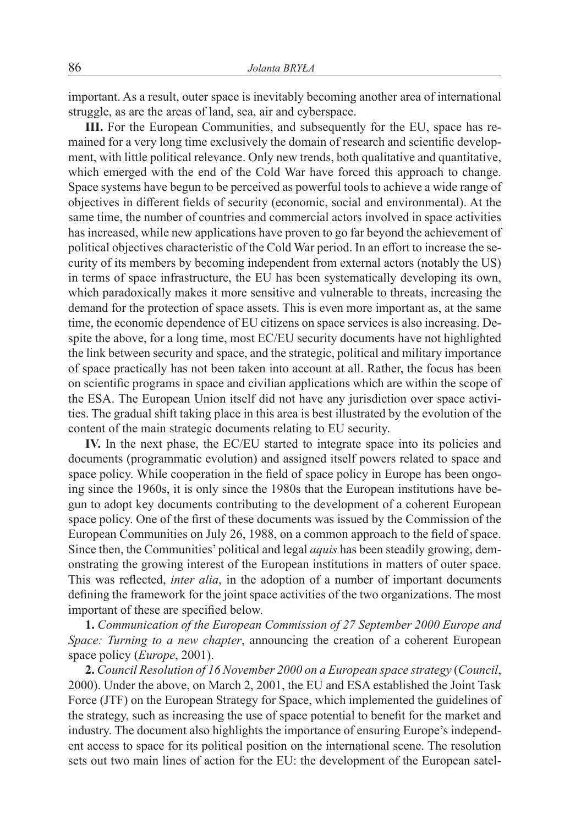important. As a result, outer space is inevitably becoming another area of international struggle, as are the areas of land, sea, air and cyberspace.

**III.** For the European Communities, and subsequently for the EU, space has remained for a very long time exclusively the domain of research and scientific development, with little political relevance. Only new trends, both qualitative and quantitative, which emerged with the end of the Cold War have forced this approach to change. Space systems have begun to be perceived as powerful tools to achieve a wide range of objectives in different fields of security (economic, social and environmental). At the same time, the number of countries and commercial actors involved in space activities has increased, while new applications have proven to go far beyond the achievement of political objectives characteristic of the Cold War period. In an effort to increase the security of its members by becoming independent from external actors (notably the US) in terms of space infrastructure, the EU has been systematically developing its own, which paradoxically makes it more sensitive and vulnerable to threats, increasing the demand for the protection of space assets. This is even more important as, at the same time, the economic dependence of EU citizens on space services is also increasing. Despite the above, for a long time, most EC/EU security documents have not highlighted the link between security and space, and the strategic, political and military importance of space practically has not been taken into account at all. Rather, the focus has been on scientific programs in space and civilian applications which are within the scope of the ESA. The European Union itself did not have any jurisdiction over space activities. The gradual shift taking place in this area is best illustrated by the evolution of the content of the main strategic documents relating to EU security.

**IV.** In the next phase, the EC/EU started to integrate space into its policies and documents (programmatic evolution) and assigned itself powers related to space and space policy. While cooperation in the field of space policy in Europe has been ongoing since the 1960s, it is only since the 1980s that the European institutions have begun to adopt key documents contributing to the development of a coherent European space policy. One of the first of these documents was issued by the Commission of the European Communities on July 26, 1988, on a common approach to the field of space. Since then, the Communities' political and legal *aquis* has been steadily growing, demonstrating the growing interest of the European institutions in matters of outer space. This was reflected, *inter alia*, in the adoption of a number of important documents defining the framework for the joint space activities of the two organizations. The most important of these are specified below.

**1.** *Communication of the European Commission of 27 September 2000 Europe and Space: Turning to a new chapter*, announcing the creation of a coherent European space policy (*Europe*, 2001).

**2.** *Council Resolution of 16 November 2000 on a European space strategy* (*Council*, 2000). Under the above, on March 2, 2001, the EU and ESA established the Joint Task Force (JTF) on the European Strategy for Space, which implemented the guidelines of the strategy, such as increasing the use of space potential to benefit for the market and industry. The document also highlights the importance of ensuring Europe's independent access to space for its political position on the international scene. The resolution sets out two main lines of action for the EU: the development of the European satel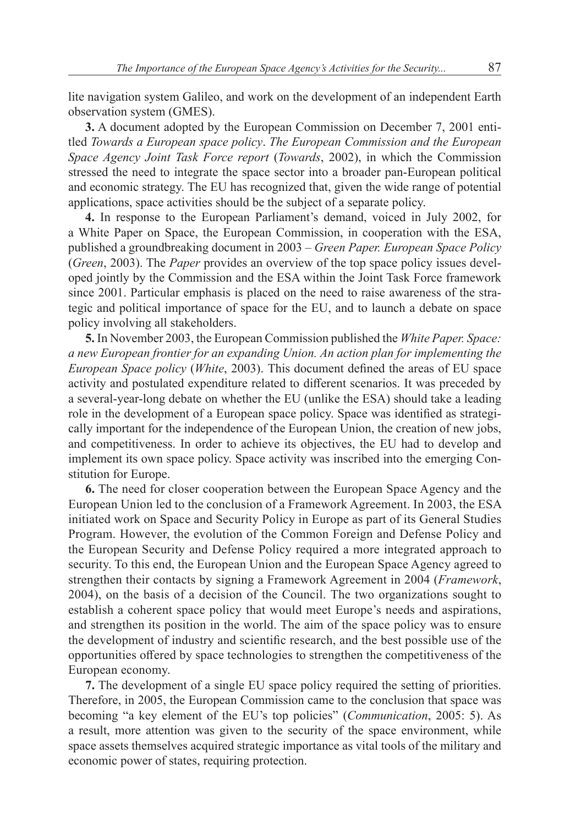lite navigation system Galileo, and work on the development of an independent Earth observation system (GMES).

**3.** A document adopted by the European Commission on December 7, 2001 entitled *Towards a European space policy*. *The European Commission and the European Space Agency Joint Task Force report* (*Towards*, 2002), in which the Commission stressed the need to integrate the space sector into a broader pan-European political and economic strategy. The EU has recognized that, given the wide range of potential applications, space activities should be the subject of a separate policy.

**4.** In response to the European Parliament's demand, voiced in July 2002, for a White Paper on Space, the European Commission, in cooperation with the ESA, published a groundbreaking document in 2003 – *Green Paper. European Space Policy* (*Green*, 2003). The *Paper* provides an overview of the top space policy issues developed jointly by the Commission and the ESA within the Joint Task Force framework since 2001. Particular emphasis is placed on the need to raise awareness of the strategic and political importance of space for the EU, and to launch a debate on space policy involving all stakeholders.

**5.** In November 2003, the European Commission published the *White Paper. Space: a new European frontier for an expanding Union. An action plan for implementing the European Space policy* (*White*, 2003). This document defined the areas of EU space activity and postulated expenditure related to different scenarios. It was preceded by a several-year-long debate on whether the EU (unlike the ESA) should take a leading role in the development of a European space policy. Space was identified as strategically important for the independence of the European Union, the creation of new jobs, and competitiveness. In order to achieve its objectives, the EU had to develop and implement its own space policy. Space activity was inscribed into the emerging Constitution for Europe.

**6.** The need for closer cooperation between the European Space Agency and the European Union led to the conclusion of a Framework Agreement. In 2003, the ESA initiated work on Space and Security Policy in Europe as part of its General Studies Program. However, the evolution of the Common Foreign and Defense Policy and the European Security and Defense Policy required a more integrated approach to security. To this end, the European Union and the European Space Agency agreed to strengthen their contacts by signing a Framework Agreement in 2004 (*Framework*, 2004), on the basis of a decision of the Council. The two organizations sought to establish a coherent space policy that would meet Europe's needs and aspirations, and strengthen its position in the world. The aim of the space policy was to ensure the development of industry and scientific research, and the best possible use of the opportunities offered by space technologies to strengthen the competitiveness of the European economy.

**7.** The development of a single EU space policy required the setting of priorities. Therefore, in 2005, the European Commission came to the conclusion that space was becoming "a key element of the EU's top policies" (*Communication*, 2005: 5). As a result, more attention was given to the security of the space environment, while space assets themselves acquired strategic importance as vital tools of the military and economic power of states, requiring protection.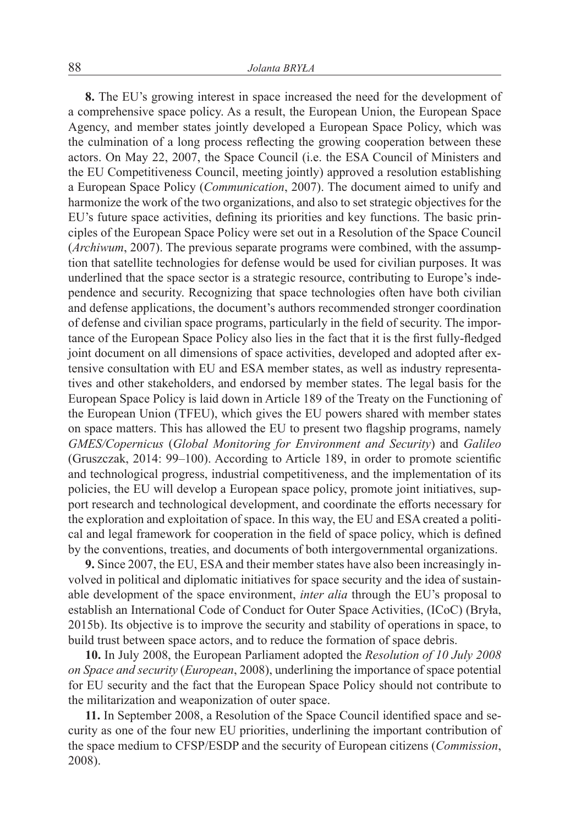**8.** The EU's growing interest in space increased the need for the development of a comprehensive space policy. As a result, the European Union, the European Space Agency, and member states jointly developed a European Space Policy, which was the culmination of a long process reflecting the growing cooperation between these actors. On May 22, 2007, the Space Council (i.e. the ESA Council of Ministers and the EU Competitiveness Council, meeting jointly) approved a resolution establishing a European Space Policy (*Communication*, 2007). The document aimed to unify and harmonize the work of the two organizations, and also to set strategic objectives for the EU's future space activities, defining its priorities and key functions. The basic principles of the European Space Policy were set out in a Resolution of the Space Council (*Archiwum*, 2007). The previous separate programs were combined, with the assumption that satellite technologies for defense would be used for civilian purposes. It was underlined that the space sector is a strategic resource, contributing to Europe's independence and security. Recognizing that space technologies often have both civilian and defense applications, the document's authors recommended stronger coordination of defense and civilian space programs, particularly in the field of security. The importance of the European Space Policy also lies in the fact that it is the first fully-fledged joint document on all dimensions of space activities, developed and adopted after extensive consultation with EU and ESA member states, as well as industry representatives and other stakeholders, and endorsed by member states. The legal basis for the European Space Policy is laid down in Article 189 of the Treaty on the Functioning of the European Union (TFEU), which gives the EU powers shared with member states on space matters. This has allowed the EU to present two flagship programs, namely *GMES/Copernicus* (*Global Monitoring for Environment and Security*) and *Galileo* (Gruszczak, 2014: 99–100). According to Article 189, in order to promote scientific and technological progress, industrial competitiveness, and the implementation of its policies, the EU will develop a European space policy, promote joint initiatives, support research and technological development, and coordinate the efforts necessary for the exploration and exploitation of space. In this way, the EU and ESA created a political and legal framework for cooperation in the field of space policy, which is defined by the conventions, treaties, and documents of both intergovernmental organizations.

**9.** Since 2007, the EU, ESA and their member states have also been increasingly involved in political and diplomatic initiatives for space security and the idea of sustainable development of the space environment, *inter alia* through the EU's proposal to establish an International Code of Conduct for Outer Space Activities, (ICoC) (Bryła, 2015b). Its objective is to improve the security and stability of operations in space, to build trust between space actors, and to reduce the formation of space debris.

**10.** In July 2008, the European Parliament adopted the *Resolution of 10 July 2008 on Space and security* (*European*, 2008), underlining the importance of space potential for EU security and the fact that the European Space Policy should not contribute to the militarization and weaponization of outer space.

**11.** In September 2008, a Resolution of the Space Council identified space and security as one of the four new EU priorities, underlining the important contribution of the space medium to CFSP/ESDP and the security of European citizens (*Commission*, 2008).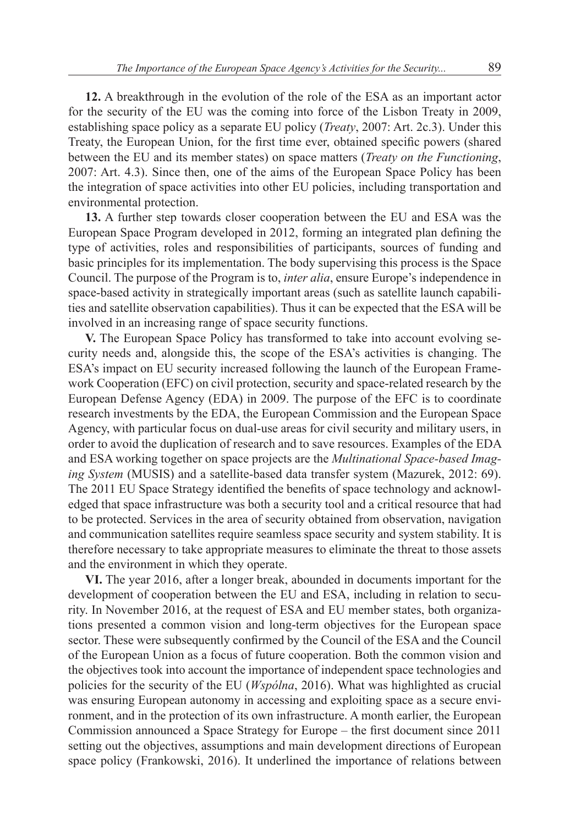**12.** A breakthrough in the evolution of the role of the ESA as an important actor for the security of the EU was the coming into force of the Lisbon Treaty in 2009, establishing space policy as a separate EU policy (*Treaty*, 2007: Art. 2c.3). Under this Treaty, the European Union, for the first time ever, obtained specific powers (shared between the EU and its member states) on space matters (*Treaty on the Functioning*, 2007: Art. 4.3). Since then, one of the aims of the European Space Policy has been the integration of space activities into other EU policies, including transportation and environmental protection.

**13.** A further step towards closer cooperation between the EU and ESA was the European Space Program developed in 2012, forming an integrated plan defining the type of activities, roles and responsibilities of participants, sources of funding and basic principles for its implementation. The body supervising this process is the Space Council. The purpose of the Program is to, *inter alia*, ensure Europe's independence in space-based activity in strategically important areas (such as satellite launch capabilities and satellite observation capabilities). Thus it can be expected that the ESA will be involved in an increasing range of space security functions.

**V.** The European Space Policy has transformed to take into account evolving security needs and, alongside this, the scope of the ESA's activities is changing. The ESA's impact on EU security increased following the launch of the European Framework Cooperation (EFC) on civil protection, security and space-related research by the European Defense Agency (EDA) in 2009. The purpose of the EFC is to coordinate research investments by the EDA, the European Commission and the European Space Agency, with particular focus on dual-use areas for civil security and military users, in order to avoid the duplication of research and to save resources. Examples of the EDA and ESA working together on space projects are the *Multinational Space-based Imaging System* (MUSIS) and a satellite-based data transfer system (Mazurek, 2012: 69). The 2011 EU Space Strategy identified the benefits of space technology and acknowledged that space infrastructure was both a security tool and a critical resource that had to be protected. Services in the area of security obtained from observation, navigation and communication satellites require seamless space security and system stability. It is therefore necessary to take appropriate measures to eliminate the threat to those assets and the environment in which they operate.

**VI.** The year 2016, after a longer break, abounded in documents important for the development of cooperation between the EU and ESA, including in relation to security. In November 2016, at the request of ESA and EU member states, both organizations presented a common vision and long-term objectives for the European space sector. These were subsequently confirmed by the Council of the ESA and the Council of the European Union as a focus of future cooperation. Both the common vision and the objectives took into account the importance of independent space technologies and policies for the security of the EU (*Wspólna*, 2016). What was highlighted as crucial was ensuring European autonomy in accessing and exploiting space as a secure environment, and in the protection of its own infrastructure. A month earlier, the European Commission announced a Space Strategy for Europe – the first document since 2011 setting out the objectives, assumptions and main development directions of European space policy (Frankowski, 2016). It underlined the importance of relations between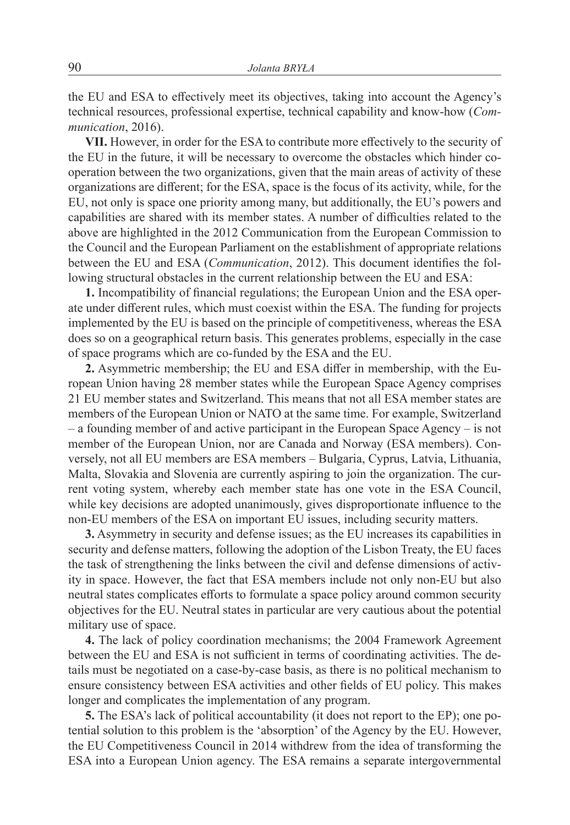the EU and ESA to effectively meet its objectives, taking into account the Agency's technical resources, professional expertise, technical capability and know-how (*Communication*, 2016).

**VII.** However, in order for the ESA to contribute more effectively to the security of the EU in the future, it will be necessary to overcome the obstacles which hinder cooperation between the two organizations, given that the main areas of activity of these organizations are different; for the ESA, space is the focus of its activity, while, for the EU, not only is space one priority among many, but additionally, the EU's powers and capabilities are shared with its member states. A number of difficulties related to the above are highlighted in the 2012 Communication from the European Commission to the Council and the European Parliament on the establishment of appropriate relations between the EU and ESA (*Communication*, 2012). This document identifies the following structural obstacles in the current relationship between the EU and ESA:

**1.** Incompatibility of financial regulations; the European Union and the ESA operate under different rules, which must coexist within the ESA. The funding for projects implemented by the EU is based on the principle of competitiveness, whereas the ESA does so on a geographical return basis. This generates problems, especially in the case of space programs which are co-funded by the ESA and the EU.

**2.** Asymmetric membership; the EU and ESA differ in membership, with the European Union having 28 member states while the European Space Agency comprises 21 EU member states and Switzerland. This means that not all ESA member states are members of the European Union or NATO at the same time. For example, Switzerland – a founding member of and active participant in the European Space Agency – is not member of the European Union, nor are Canada and Norway (ESA members). Conversely, not all EU members are ESA members – Bulgaria, Cyprus, Latvia, Lithuania, Malta, Slovakia and Slovenia are currently aspiring to join the organization. The current voting system, whereby each member state has one vote in the ESA Council, while key decisions are adopted unanimously, gives disproportionate influence to the non-EU members of the ESA on important EU issues, including security matters.

**3.** Asymmetry in security and defense issues; as the EU increases its capabilities in security and defense matters, following the adoption of the Lisbon Treaty, the EU faces the task of strengthening the links between the civil and defense dimensions of activity in space. However, the fact that ESA members include not only non-EU but also neutral states complicates efforts to formulate a space policy around common security objectives for the EU. Neutral states in particular are very cautious about the potential military use of space.

**4.** The lack of policy coordination mechanisms; the 2004 Framework Agreement between the EU and ESA is not sufficient in terms of coordinating activities. The details must be negotiated on a case-by-case basis, as there is no political mechanism to ensure consistency between ESA activities and other fields of EU policy. This makes longer and complicates the implementation of any program.

**5.** The ESA's lack of political accountability (it does not report to the EP); one potential solution to this problem is the 'absorption' of the Agency by the EU. However, the EU Competitiveness Council in 2014 withdrew from the idea of transforming the ESA into a European Union agency. The ESA remains a separate intergovernmental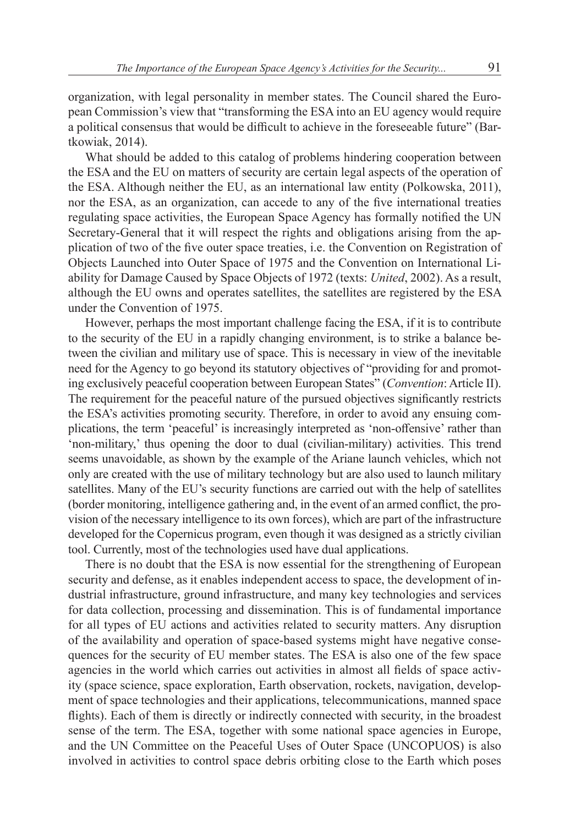organization, with legal personality in member states. The Council shared the European Commission's view that "transforming the ESA into an EU agency would require a political consensus that would be difficult to achieve in the foreseeable future" (Bartkowiak, 2014).

What should be added to this catalog of problems hindering cooperation between the ESA and the EU on matters of security are certain legal aspects of the operation of the ESA. Although neither the EU, as an international law entity (Polkowska, 2011), nor the ESA, as an organization, can accede to any of the five international treaties regulating space activities, the European Space Agency has formally notified the UN Secretary-General that it will respect the rights and obligations arising from the application of two of the five outer space treaties, i.e. the Convention on Registration of Objects Launched into Outer Space of 1975 and the Convention on International Liability for Damage Caused by Space Objects of 1972 (texts: *United*, 2002). As a result, although the EU owns and operates satellites, the satellites are registered by the ESA under the Convention of 1975.

However, perhaps the most important challenge facing the ESA, if it is to contribute to the security of the EU in a rapidly changing environment, is to strike a balance between the civilian and military use of space. This is necessary in view of the inevitable need for the Agency to go beyond its statutory objectives of "providing for and promoting exclusively peaceful cooperation between European States" (*Convention*: Article II). The requirement for the peaceful nature of the pursued objectives significantly restricts the ESA's activities promoting security. Therefore, in order to avoid any ensuing complications, the term 'peaceful' is increasingly interpreted as 'non-offensive' rather than 'non-military,' thus opening the door to dual (civilian-military) activities. This trend seems unavoidable, as shown by the example of the Ariane launch vehicles, which not only are created with the use of military technology but are also used to launch military satellites. Many of the EU's security functions are carried out with the help of satellites (border monitoring, intelligence gathering and, in the event of an armed conflict, the provision of the necessary intelligence to its own forces), which are part of the infrastructure developed for the Copernicus program, even though it was designed as a strictly civilian tool. Currently, most of the technologies used have dual applications.

There is no doubt that the ESA is now essential for the strengthening of European security and defense, as it enables independent access to space, the development of industrial infrastructure, ground infrastructure, and many key technologies and services for data collection, processing and dissemination. This is of fundamental importance for all types of EU actions and activities related to security matters. Any disruption of the availability and operation of space-based systems might have negative consequences for the security of EU member states. The ESA is also one of the few space agencies in the world which carries out activities in almost all fields of space activity (space science, space exploration, Earth observation, rockets, navigation, development of space technologies and their applications, telecommunications, manned space flights). Each of them is directly or indirectly connected with security, in the broadest sense of the term. The ESA, together with some national space agencies in Europe, and the UN Committee on the Peaceful Uses of Outer Space (UNCOPUOS) is also involved in activities to control space debris orbiting close to the Earth which poses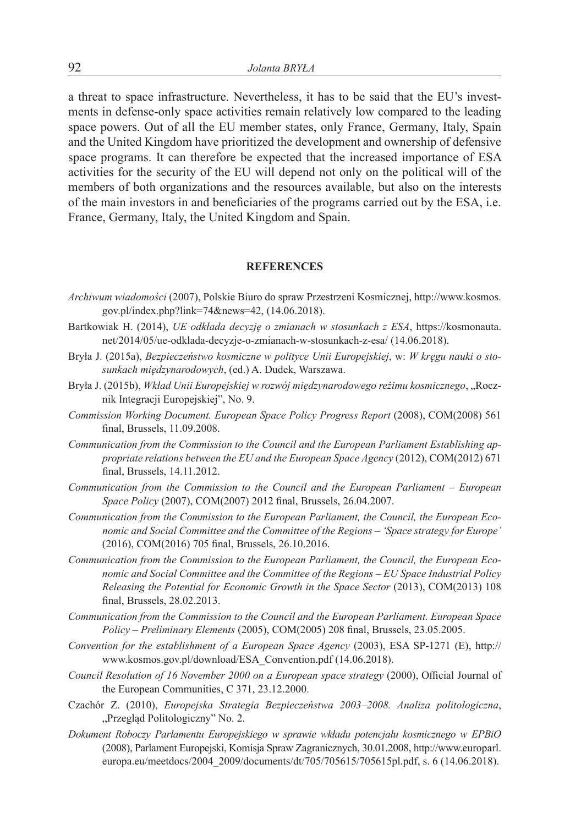a threat to space infrastructure. Nevertheless, it has to be said that the EU's investments in defense-only space activities remain relatively low compared to the leading space powers. Out of all the EU member states, only France, Germany, Italy, Spain and the United Kingdom have prioritized the development and ownership of defensive space programs. It can therefore be expected that the increased importance of ESA activities for the security of the EU will depend not only on the political will of the members of both organizations and the resources available, but also on the interests of the main investors in and beneficiaries of the programs carried out by the ESA, i.e. France, Germany, Italy, the United Kingdom and Spain.

### **REFERENCES**

- *Archiwum wiadomości* (2007), Polskie Biuro do spraw Przestrzeni Kosmicznej, http://www.kosmos. gov.pl/index.php?link=74&news=42, (14.06.2018).
- Bartkowiak H. (2014), *UE odkłada decyzję o zmianach w stosunkach z ESA*, https://kosmonauta. net/2014/05/ue-odklada-decyzje-o-zmianach-w-stosunkach-z-esa/ (14.06.2018).
- Bryła J. (2015a), *Bezpieczeństwo kosmiczne w polityce Unii Europejskiej*, w: *W kręgu nauki o stosunkach międzynarodowych*, (ed.) A. Dudek, Warszawa.
- Bryła J. (2015b), *Wkład Unii Europejskiej w rozwój międzynarodowego reżimu kosmicznego*, "Rocznik Integracji Europejskiej", No. 9.
- *Commission Working Document. European Space Policy Progress Report* (2008), COM(2008) 561 final, Brussels, 11.09.2008.
- *Communication from the Commission to the Council and the European Parliament Establishing appropriate relations between the EU and the European Space Agency* (2012), COM(2012) 671 final, Brussels, 14.11.2012.
- *Communication from the Commission to the Council and the European Parliament European Space Policy* (2007), COM(2007) 2012 final, Brussels, 26.04.2007.
- *Communication from the Commission to the European Parliament, the Council, the European Economic and Social Committee and the Committee of the Regions – 'Space strategy for Europe'* (2016), COM(2016) 705 final, Brussels, 26.10.2016.
- *Communication from the Commission to the European Parliament, the Council, the European Economic and Social Committee and the Committee of the Regions* – *EU Space Industrial Policy Releasing the Potential for Economic Growth in the Space Sector* (2013), COM(2013) 108 final, Brussels, 28.02.2013.
- *Communication from the Commission to the Council and the European Parliament. European Space Policy – Preliminary Elements* (2005), COM(2005) 208 final, Brussels, 23.05.2005.
- *Convention for the establishment of a European Space Agency* (2003), ESA SP-1271 (E), http:// www.kosmos.gov.pl/download/ESA\_Convention.pdf (14.06.2018).
- *Council Resolution of 16 November 2000 on a European space strategy* (2000), Official Journal of the European Communities, C 371, 23.12.2000.
- Czachór Z. (2010), *Europejska Strategia Bezpieczeństwa 2003–2008. Analiza politologiczna*, "Przegląd Politologiczny" No. 2.
- *Dokument Roboczy Parlamentu Europejskiego w sprawie wkładu potencjału kosmicznego w EPBiO* (2008), Parlament Europejski, Komisja Spraw Zagranicznych, 30.01.2008, http://www.europarl. europa.eu/meetdocs/2004\_2009/documents/dt/705/705615/705615pl.pdf, s. 6 (14.06.2018).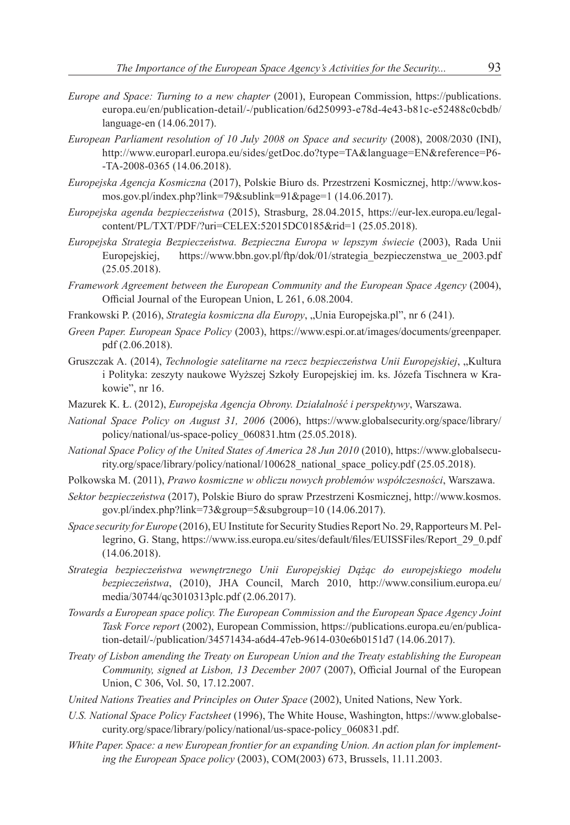- *Europe and Space: Turning to a new chapter* (2001), European Commission, https://publications. europa.eu/en/publication-detail/-/publication/6d250993-e78d-4e43-b81c-e52488c0cbdb/ language-en (14.06.2017).
- *European Parliament resolution of 10 July 2008 on Space and security* (2008), 2008/2030 (INI), http://www.europarl.europa.eu/sides/getDoc.do?type=TA&language=EN&reference=P6- -TA-2008-0365 (14.06.2018).
- *Europejska Agencja Kosmiczna* (2017), Polskie Biuro ds. Przestrzeni Kosmicznej, http://www.kosmos.gov.pl/index.php?link=79&sublink=91&page=1 (14.06.2017).
- *Europejska agenda bezpieczeństwa* (2015), Strasburg, 28.04.2015, https://eur-lex.europa.eu/legalcontent/PL/TXT/PDF/?uri=CELEX:52015DC0185&rid=1 (25.05.2018).
- *Europejska Strategia Bezpieczeństwa. Bezpieczna Europa w lepszym świecie* (2003), Rada Unii Europejskiej, https://www.bbn.gov.pl/ftp/dok/01/strategia bezpieczenstwa ue 2003.pdf (25.05.2018).
- *Framework Agreement between the European Community and the European Space Agency* (2004), Official Journal of the European Union, L 261, 6.08.2004.
- Frankowski P. (2016), *Strategia kosmiczna dla Europy*, "Unia Europejska.pl", nr 6 (241).
- *Green Paper. European Space Policy* (2003), https://www.espi.or.at/images/documents/greenpaper. pdf (2.06.2018).
- Gruszczak A. (2014), *Technologie satelitarne na rzecz bezpieczeństwa Unii Europejskiej*, "Kultura i Polityka: zeszyty naukowe Wyższej Szkoły Europejskiej im. ks. Józefa Tischnera w Krakowie", nr 16.
- Mazurek K. Ł. (2012), *Europejska Agencja Obrony. Działalność i perspektywy*, Warszawa.
- *National Space Policy on August 31, 2006* (2006), https://www.globalsecurity.org/space/library/ policy/national/us-space-policy\_060831.htm (25.05.2018).
- *National Space Policy of the United States of America 28 Jun 2010* (2010), https://www.globalsecurity.org/space/library/policy/national/100628\_national\_space\_policy.pdf (25.05.2018).
- Polkowska M. (2011), *Prawo kosmiczne w obliczu nowych problemów współczesności*, Warszawa.
- *Sektor bezpieczeństwa* (2017), Polskie Biuro do spraw Przestrzeni Kosmicznej, http://www.kosmos. gov.pl/index.php?link=73&group=5&subgroup=10 (14.06.2017).
- *Space security for Europe* (2016), EU Institute for Security Studies Report No. 29, Rapporteurs M. Pellegrino, G. Stang, https://www.iss.europa.eu/sites/default/files/EUISSFiles/Report\_29\_0.pdf (14.06.2018).
- *Strategia bezpieczeństwa wewnętrznego Unii Europejskiej Dążąc do europejskiego modelu bezpieczeństwa*, (2010), JHA Council, March 2010, http://www.consilium.europa.eu/ media/30744/qc3010313plc.pdf (2.06.2017).
- *Towards a European space policy. The European Commission and the European Space Agency Joint Task Force report* (2002), European Commission, https://publications.europa.eu/en/publication-detail/-/publication/34571434-a6d4-47eb-9614-030e6b0151d7 (14.06.2017).
- *Treaty of Lisbon amending the Treaty on European Union and the Treaty establishing the European Community, signed at Lisbon, 13 December 2007* (2007), Official Journal of the European Union, C 306, Vol. 50, 17.12.2007.
- *United Nations Treaties and Principles on Outer Space* (2002), United Nations, New York.
- *U.S. National Space Policy Factsheet* (1996), The White House, Washington, https://www.globalsecurity.org/space/library/policy/national/us-space-policy\_060831.pdf.
- *White Paper. Space: a new European frontier for an expanding Union. An action plan for implementing the European Space policy* (2003), COM(2003) 673, Brussels, 11.11.2003.